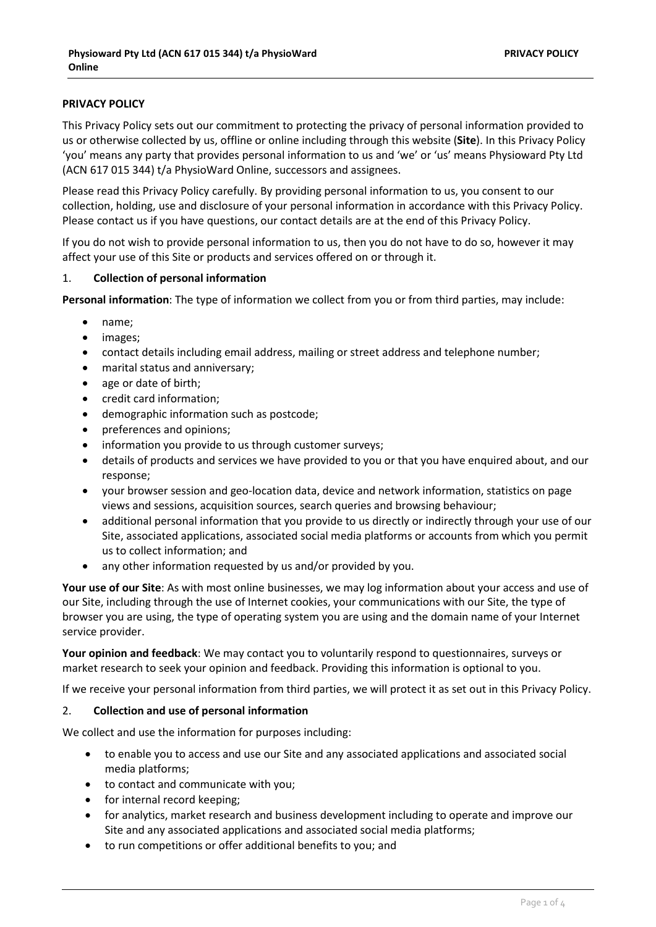# **PRIVACY POLICY**

This Privacy Policy sets out our commitment to protecting the privacy of personal information provided to us or otherwise collected by us, offline or online including through this website (**Site**). In this Privacy Policy 'you' means any party that provides personal information to us and 'we' or 'us' means Physioward Pty Ltd (ACN 617 015 344) t/a PhysioWard Online, successors and assignees.

Please read this Privacy Policy carefully. By providing personal information to us, you consent to our collection, holding, use and disclosure of your personal information in accordance with this Privacy Policy. Please contact us if you have questions, our contact details are at the end of this Privacy Policy.

If you do not wish to provide personal information to us, then you do not have to do so, however it may affect your use of this Site or products and services offered on or through it.

#### 1. **Collection of personal information**

**Personal information**: The type of information we collect from you or from third parties, may include:

- name;
- images;
- contact details including email address, mailing or street address and telephone number;
- marital status and anniversary;
- age or date of birth;
- credit card information;
- demographic information such as postcode;
- preferences and opinions;
- information you provide to us through customer surveys;
- details of products and services we have provided to you or that you have enquired about, and our response;
- your browser session and geo-location data, device and network information, statistics on page views and sessions, acquisition sources, search queries and browsing behaviour;
- additional personal information that you provide to us directly or indirectly through your use of our Site, associated applications, associated social media platforms or accounts from which you permit us to collect information; and
- any other information requested by us and/or provided by you.

**Your use of our Site**: As with most online businesses, we may log information about your access and use of our Site, including through the use of Internet cookies, your communications with our Site, the type of browser you are using, the type of operating system you are using and the domain name of your Internet service provider.

**Your opinion and feedback**: We may contact you to voluntarily respond to questionnaires, surveys or market research to seek your opinion and feedback. Providing this information is optional to you.

If we receive your personal information from third parties, we will protect it as set out in this Privacy Policy.

### 2. **Collection and use of personal information**

We collect and use the information for purposes including:

- to enable you to access and use our Site and any associated applications and associated social media platforms;
- to contact and communicate with you;
- for internal record keeping;
- for analytics, market research and business development including to operate and improve our Site and any associated applications and associated social media platforms;
- to run competitions or offer additional benefits to you; and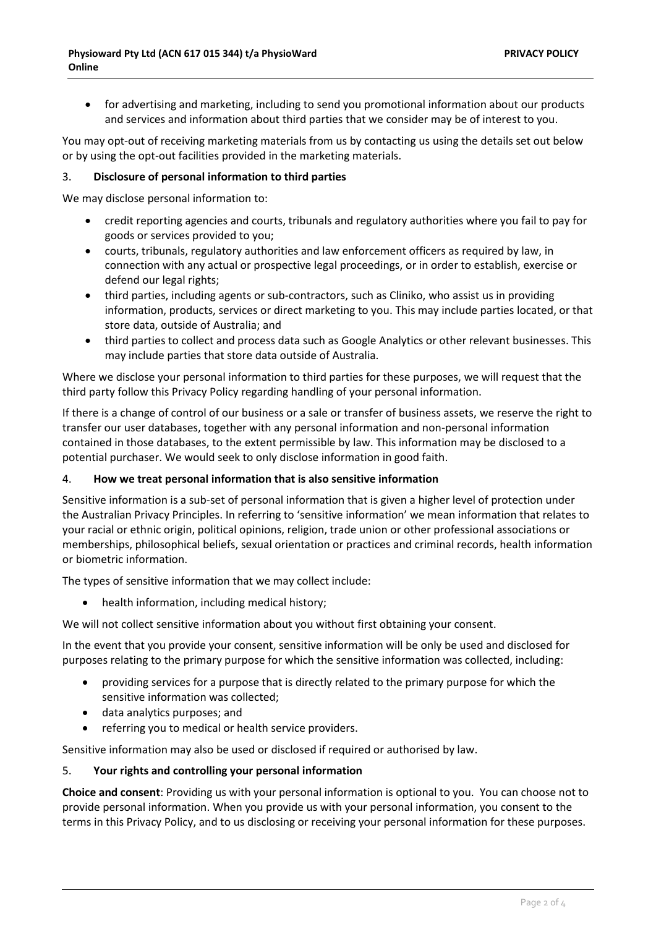• for advertising and marketing, including to send you promotional information about our products and services and information about third parties that we consider may be of interest to you.

You may opt-out of receiving marketing materials from us by contacting us using the details set out below or by using the opt-out facilities provided in the marketing materials.

### 3. **Disclosure of personal information to third parties**

We may disclose personal information to:

- credit reporting agencies and courts, tribunals and regulatory authorities where you fail to pay for goods or services provided to you;
- courts, tribunals, regulatory authorities and law enforcement officers as required by law, in connection with any actual or prospective legal proceedings, or in order to establish, exercise or defend our legal rights;
- third parties, including agents or sub-contractors, such as Cliniko, who assist us in providing information, products, services or direct marketing to you. This may include parties located, or that store data, outside of Australia; and
- third parties to collect and process data such as Google Analytics or other relevant businesses. This may include parties that store data outside of Australia.

Where we disclose your personal information to third parties for these purposes, we will request that the third party follow this Privacy Policy regarding handling of your personal information.

If there is a change of control of our business or a sale or transfer of business assets, we reserve the right to transfer our user databases, together with any personal information and non-personal information contained in those databases, to the extent permissible by law. This information may be disclosed to a potential purchaser. We would seek to only disclose information in good faith.

### 4. **How we treat personal information that is also sensitive information**

Sensitive information is a sub-set of personal information that is given a higher level of protection under the Australian Privacy Principles. In referring to 'sensitive information' we mean information that relates to your racial or ethnic origin, political opinions, religion, trade union or other professional associations or memberships, philosophical beliefs, sexual orientation or practices and criminal records, health information or biometric information.

The types of sensitive information that we may collect include:

• health information, including medical history;

We will not collect sensitive information about you without first obtaining your consent.

In the event that you provide your consent, sensitive information will be only be used and disclosed for purposes relating to the primary purpose for which the sensitive information was collected, including:

- providing services for a purpose that is directly related to the primary purpose for which the sensitive information was collected;
- data analytics purposes; and
- referring you to medical or health service providers.

Sensitive information may also be used or disclosed if required or authorised by law.

5. **Your rights and controlling your personal information**

**Choice and consent**: Providing us with your personal information is optional to you. You can choose not to provide personal information. When you provide us with your personal information, you consent to the terms in this Privacy Policy, and to us disclosing or receiving your personal information for these purposes.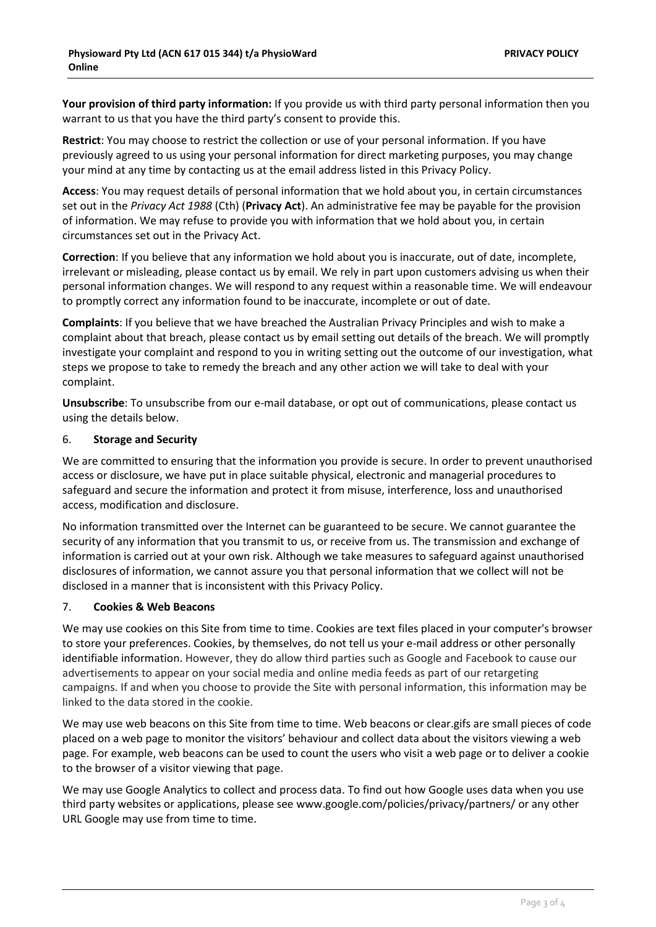**Your provision of third party information:** If you provide us with third party personal information then you warrant to us that you have the third party's consent to provide this.

**Restrict**: You may choose to restrict the collection or use of your personal information. If you have previously agreed to us using your personal information for direct marketing purposes, you may change your mind at any time by contacting us at the email address listed in this Privacy Policy.

**Access**: You may request details of personal information that we hold about you, in certain circumstances set out in the *Privacy Act 1988* (Cth) (**Privacy Act**). An administrative fee may be payable for the provision of information. We may refuse to provide you with information that we hold about you, in certain circumstances set out in the Privacy Act.

**Correction**: If you believe that any information we hold about you is inaccurate, out of date, incomplete, irrelevant or misleading, please contact us by email. We rely in part upon customers advising us when their personal information changes. We will respond to any request within a reasonable time. We will endeavour to promptly correct any information found to be inaccurate, incomplete or out of date.

**Complaints**: If you believe that we have breached the Australian Privacy Principles and wish to make a complaint about that breach, please contact us by email setting out details of the breach. We will promptly investigate your complaint and respond to you in writing setting out the outcome of our investigation, what steps we propose to take to remedy the breach and any other action we will take to deal with your complaint.

**Unsubscribe**: To unsubscribe from our e-mail database, or opt out of communications, please contact us using the details below.

#### 6. **Storage and Security**

We are committed to ensuring that the information you provide is secure. In order to prevent unauthorised access or disclosure, we have put in place suitable physical, electronic and managerial procedures to safeguard and secure the information and protect it from misuse, interference, loss and unauthorised access, modification and disclosure.

No information transmitted over the Internet can be guaranteed to be secure. We cannot guarantee the security of any information that you transmit to us, or receive from us. The transmission and exchange of information is carried out at your own risk. Although we take measures to safeguard against unauthorised disclosures of information, we cannot assure you that personal information that we collect will not be disclosed in a manner that is inconsistent with this Privacy Policy.

### 7. **Cookies & Web Beacons**

We may use cookies on this Site from time to time. Cookies are text files placed in your computer's browser to store your preferences. Cookies, by themselves, do not tell us your e-mail address or other personally identifiable information. However, they do allow third parties such as Google and Facebook to cause our advertisements to appear on your social media and online media feeds as part of our retargeting campaigns. If and when you choose to provide the Site with personal information, this information may be linked to the data stored in the cookie.

We may use web beacons on this Site from time to time. Web beacons or clear.gifs are small pieces of code placed on a web page to monitor the visitors' behaviour and collect data about the visitors viewing a web page. For example, web beacons can be used to count the users who visit a web page or to deliver a cookie to the browser of a visitor viewing that page.

We may use Google Analytics to collect and process data. To find out how Google uses data when you use third party websites or applications, please see [www.google.com/policies/privacy/partners/](http://www.google.com/policies/privacy/partners/) or any other URL Google may use from time to time.